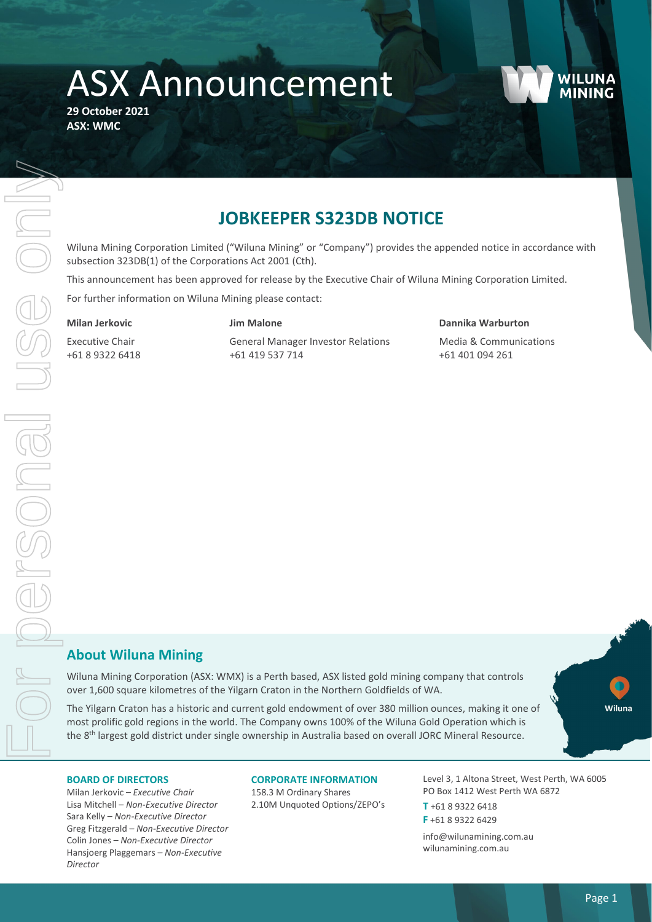# ASX Announcement

**29 October 2021 ASX: WMC** 



# **JOBKEEPER S323DB NOTICE**

Wiluna Mining Corporation Limited ("Wiluna Mining" or "Company") provides the appended notice in accordance with subsection 323DB(1) of the Corporations Act 2001 (Cth).

This announcement has been approved for release by the Executive Chair of Wiluna Mining Corporation Limited.

For further information on Wiluna Mining please contact:

#### **Milan Jerkovic**

### **Jim Malone**

Executive Chair +61 8 9322 6418 General Manager Investor Relations +61 419 537 714

#### **Dannika Warburton**

Media & Communications +61 401 094 261

## **About Wiluna Mining**

Wiluna Mining Corporation (ASX: WMX) is a Perth based, ASX listed gold mining company that controls over 1,600 square kilometres of the Yilgarn Craton in the Northern Goldfields of WA.

The Yilgarn Craton has a historic and current gold endowment of over 380 million ounces, making it one of most prolific gold regions in the world. The Company owns 100% of the Wiluna Gold Operation which is the 8<sup>th</sup> largest gold district under single ownership in Australia based on overall JORC Mineral Resource.



Milan Jerkovic – *Executive Chair* Lisa Mitchell – *Non-Executive Director* Sara Kelly – *Non-Executive Director* Greg Fitzgerald – *Non-Executive Director* Colin Jones *– Non-Executive Director* Hansjoerg Plaggemars – *Non-Executive Director*

#### **CORPORATE INFORMATION**

158.3 M Ordinary Shares 2.10M Unquoted Options/ZEPO's Level 3, 1 Altona Street, West Perth, WA 6005 PO Box 1412 West Perth WA 6872

**T** +61 8 9322 6418 **F** +61 8 9322 6429

info@wilunamining.com.au wilunamining.com.au

**Willing**